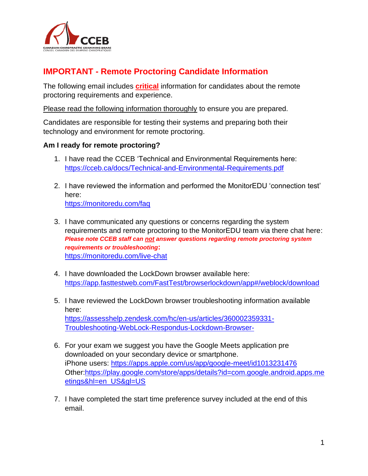

## **IMPORTANT - Remote Proctoring Candidate Information**

The following email includes **critical** information for candidates about the remote proctoring requirements and experience.

Please read the following information thoroughly to ensure you are prepared.

Candidates are responsible for testing their systems and preparing both their technology and environment for remote proctoring.

## **Am I ready for remote proctoring?**

- 1. I have read the CCEB 'Technical and Environmental Requirements here: <https://cceb.ca/docs/Technical-and-Environmental-Requirements.pdf>
- 2. I have reviewed the information and performed the MonitorEDU 'connection test' here: <https://monitoredu.com/faq>
- 3. I have communicated any questions or concerns regarding the system requirements and remote proctoring to the MonitorEDU team via there chat here: *Please note CCEB staff can not answer questions regarding remote proctoring system requirements or troubleshooting***:** <https://monitoredu.com/live-chat>
- 4. I have downloaded the LockDown browser available here: <https://app.fasttestweb.com/FastTest/browserlockdown/app#/weblock/download>
- 5. I have reviewed the LockDown browser troubleshooting information available here: [https://assesshelp.zendesk.com/hc/en-us/articles/360002359331-](https://assesshelp.zendesk.com/hc/en-us/articles/360002359331-Troubleshooting-WebLock-Respondus-Lockdown-Browser-) [Troubleshooting-WebLock-Respondus-Lockdown-Browser-](https://assesshelp.zendesk.com/hc/en-us/articles/360002359331-Troubleshooting-WebLock-Respondus-Lockdown-Browser-)
- 6. For your exam we suggest you have the Google Meets application pre downloaded on your secondary device or smartphone. iPhone users: [https://apps.apple.com/us/app/google-meet/id1013231476](https://urldefense.proofpoint.com/v2/url?u=https-3A__apps.apple.com_us_app_google-2Dmeet_id1013231476&d=DwMFAg&c=euGZstcaTDllvimEN8b7jXrwqOf-v5A_CdpgnVfiiMM&r=WhR2pm9DT3Haubk48ckwqg&m=2kbhV2pElWHcEvMNtz5xc1yg0E7WSSad1P48fHfEqrE&s=71ub9bQLv2su7LkF2LFbod2E-vCcbjf0I4Kz8Wnmku4&e=) Other[:https://play.google.com/store/apps/details?id=com.google.android.apps.me](https://urldefense.proofpoint.com/v2/url?u=https-3A__play.google.com_store_apps_details-3Fid-3Dcom.google.android.apps.meetings-26hl-3Den-5FUS-26gl-3DUS&d=DwMFAg&c=euGZstcaTDllvimEN8b7jXrwqOf-v5A_CdpgnVfiiMM&r=WhR2pm9DT3Haubk48ckwqg&m=2kbhV2pElWHcEvMNtz5xc1yg0E7WSSad1P48fHfEqrE&s=br0lfqppU7JzfSSQUp5xGOc0yuWtIVbARkTXPGA9WLk&e=) [etings&hl=en\\_US&gl=US](https://urldefense.proofpoint.com/v2/url?u=https-3A__play.google.com_store_apps_details-3Fid-3Dcom.google.android.apps.meetings-26hl-3Den-5FUS-26gl-3DUS&d=DwMFAg&c=euGZstcaTDllvimEN8b7jXrwqOf-v5A_CdpgnVfiiMM&r=WhR2pm9DT3Haubk48ckwqg&m=2kbhV2pElWHcEvMNtz5xc1yg0E7WSSad1P48fHfEqrE&s=br0lfqppU7JzfSSQUp5xGOc0yuWtIVbARkTXPGA9WLk&e=)
- 7. I have completed the start time preference survey included at the end of this email.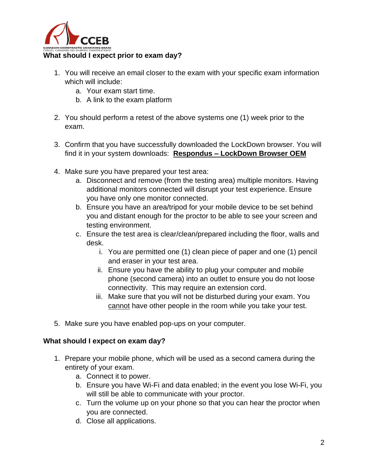

- 1. You will receive an email closer to the exam with your specific exam information which will include:
	- a. Your exam start time.
	- b. A link to the exam platform
- 2. You should perform a retest of the above systems one (1) week prior to the exam.
- 3. Confirm that you have successfully downloaded the LockDown browser. You will find it in your system downloads: **Respondus – LockDown Browser OEM**
- 4. Make sure you have prepared your test area:
	- a. Disconnect and remove (from the testing area) multiple monitors. Having additional monitors connected will disrupt your test experience. Ensure you have only one monitor connected.
	- b. Ensure you have an area/tripod for your mobile device to be set behind you and distant enough for the proctor to be able to see your screen and testing environment.
	- c. Ensure the test area is clear/clean/prepared including the floor, walls and desk.
		- i. You are permitted one (1) clean piece of paper and one (1) pencil and eraser in your test area.
		- ii. Ensure you have the ability to plug your computer and mobile phone (second camera) into an outlet to ensure you do not loose connectivity. This may require an extension cord.
		- iii. Make sure that you will not be disturbed during your exam. You cannot have other people in the room while you take your test.
- 5. Make sure you have enabled pop-ups on your computer.

## **What should I expect on exam day?**

- 1. Prepare your mobile phone, which will be used as a second camera during the entirety of your exam.
	- a. Connect it to power.
	- b. Ensure you have Wi-Fi and data enabled; in the event you lose Wi-Fi, you will still be able to communicate with your proctor.
	- c. Turn the volume up on your phone so that you can hear the proctor when you are connected.
	- d. Close all applications.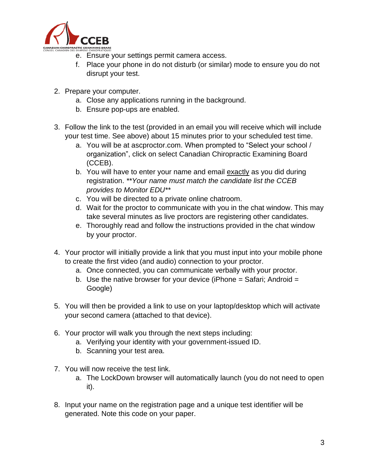

- e. Ensure your settings permit camera access.
- f. Place your phone in do not disturb (or similar) mode to ensure you do not disrupt your test.
- 2. Prepare your computer.
	- a. Close any applications running in the background.
	- b. Ensure pop-ups are enabled.
- 3. Follow the link to the test (provided in an email you will receive which will include your test time. See above) about 15 minutes prior to your scheduled test time.
	- a. You will be at ascproctor.com. When prompted to "Select your school / organization", click on select Canadian Chiropractic Examining Board (CCEB).
	- b. You will have to enter your name and email exactly as you did during registration. *\*\*Your name must match the candidate list the CCEB provides to Monitor EDU\*\**
	- c. You will be directed to a private online chatroom.
	- d. Wait for the proctor to communicate with you in the chat window. This may take several minutes as live proctors are registering other candidates.
	- e. Thoroughly read and follow the instructions provided in the chat window by your proctor.
- 4. Your proctor will initially provide a link that you must input into your mobile phone to create the first video (and audio) connection to your proctor.
	- a. Once connected, you can communicate verbally with your proctor.
	- b. Use the native browser for your device (iPhone  $=$  Safari; Android  $=$ Google)
- 5. You will then be provided a link to use on your laptop/desktop which will activate your second camera (attached to that device).
- 6. Your proctor will walk you through the next steps including:
	- a. Verifying your identity with your government-issued ID.
	- b. Scanning your test area.
- 7. You will now receive the test link.
	- a. The LockDown browser will automatically launch (you do not need to open it).
- 8. Input your name on the registration page and a unique test identifier will be generated. Note this code on your paper.